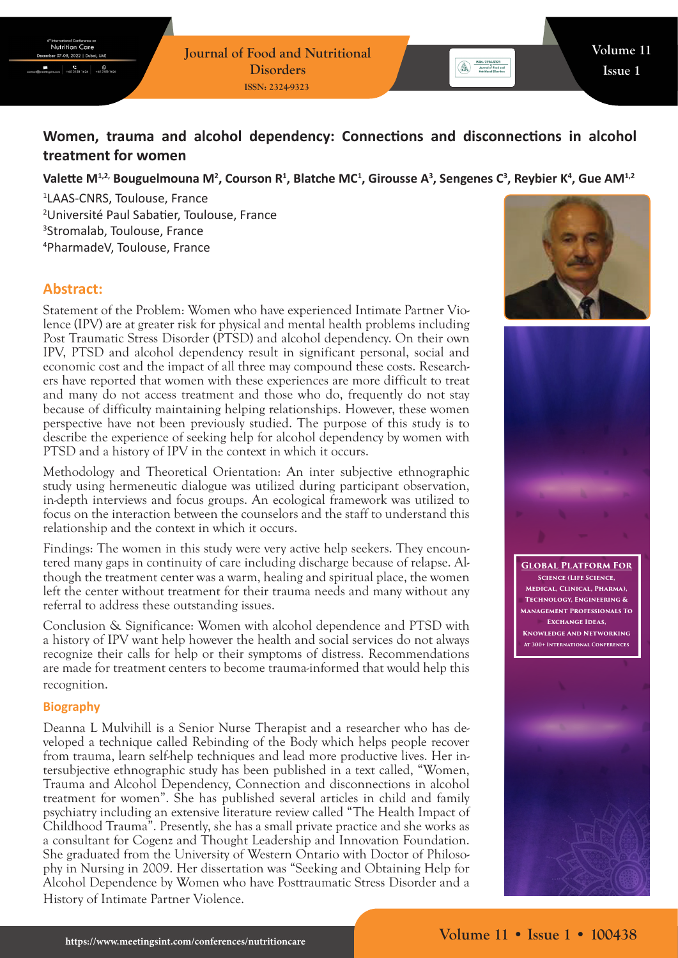# **Women, trauma and alcohol dependency: Connections and disconnections in alcohol treatment for women**

# Valette M<sup>1,2,</sup> Bouguelmouna M<sup>2</sup>, Courson R<sup>1</sup>, Blatche MC<sup>1</sup>, Girousse A<sup>3</sup>, Sengenes C<sup>3</sup>, Reybier K<sup>4</sup>, Gue AM<sup>1,2</sup>

 LAAS-CNRS, Toulouse, France Université Paul Sabatier, Toulouse, France Stromalab, Toulouse, France PharmadeV, Toulouse, France

# **Abstract:**

Statement of the Problem: Women who have experienced Intimate Partner Violence (IPV) are at greater risk for physical and mental health problems including Post Traumatic Stress Disorder (PTSD) and alcohol dependency. On their own IPV, PTSD and alcohol dependency result in significant personal, social and economic cost and the impact of all three may compound these costs. Researchers have reported that women with these experiences are more difficult to treat and many do not access treatment and those who do, frequently do not stay because of difficulty maintaining helping relationships. However, these women perspective have not been previously studied. The purpose of this study is to describe the experience of seeking help for alcohol dependency by women with PTSD and a history of IPV in the context in which it occurs.

Methodology and Theoretical Orientation: An inter subjective ethnographic study using hermeneutic dialogue was utilized during participant observation, in-depth interviews and focus groups. An ecological framework was utilized to focus on the interaction between the counselors and the staff to understand this relationship and the context in which it occurs.

Findings: The women in this study were very active help seekers. They encountered many gaps in continuity of care including discharge because of relapse. Although the treatment center was a warm, healing and spiritual place, the women left the center without treatment for their trauma needs and many without any referral to address these outstanding issues.

Conclusion & Significance: Women with alcohol dependence and PTSD with a history of IPV want help however the health and social services do not always recognize their calls for help or their symptoms of distress. Recommendations are made for treatment centers to become trauma-informed that would help this recognition.

#### **Biography**

Deanna L Mulvihill is a Senior Nurse Therapist and a researcher who has developed a technique called Rebinding of the Body which helps people recover from trauma, learn self-help techniques and lead more productive lives. Her intersubjective ethnographic study has been published in a text called, "Women, Trauma and Alcohol Dependency, Connection and disconnections in alcohol treatment for women". She has published several articles in child and family psychiatry including an extensive literature review called "The Health Impact of Childhood Trauma". Presently, she has a small private practice and she works as a consultant for Cogenz and Thought Leadership and Innovation Foundation. She graduated from the University of Western Ontario with Doctor of Philosophy in Nursing in 2009. Her dissertation was "Seeking and Obtaining Help for Alcohol Dependence by Women who have Posttraumatic Stress Disorder and a History of Intimate Partner Violence.



 $\binom{1}{\text{even}}$   $\frac{155N: 2324-9323}{\text{lower of Food and  
Method of Protocol$